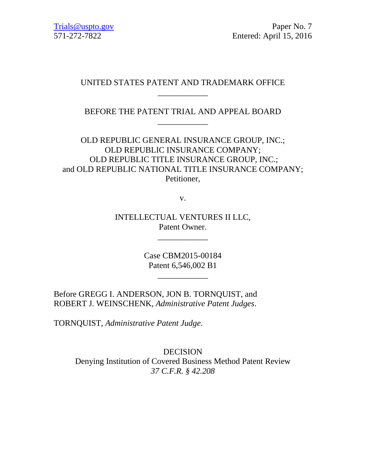# UNITED STATES PATENT AND TRADEMARK OFFICE \_\_\_\_\_\_\_\_\_\_\_\_

# BEFORE THE PATENT TRIAL AND APPEAL BOARD \_\_\_\_\_\_\_\_\_\_\_\_

OLD REPUBLIC GENERAL INSURANCE GROUP, INC.; OLD REPUBLIC INSURANCE COMPANY; OLD REPUBLIC TITLE INSURANCE GROUP, INC.; and OLD REPUBLIC NATIONAL TITLE INSURANCE COMPANY; Petitioner,

v.

INTELLECTUAL VENTURES II LLC, Patent Owner.

\_\_\_\_\_\_\_\_\_\_\_\_

Case CBM2015-00184 Patent 6,546,002 B1

\_\_\_\_\_\_\_\_\_\_\_\_

Before GREGG I. ANDERSON, JON B. TORNQUIST, and ROBERT J. WEINSCHENK, *Administrative Patent Judges*.

TORNQUIST, *Administrative Patent Judge.*

DECISION Denying Institution of Covered Business Method Patent Review *37 C.F.R. § 42.208*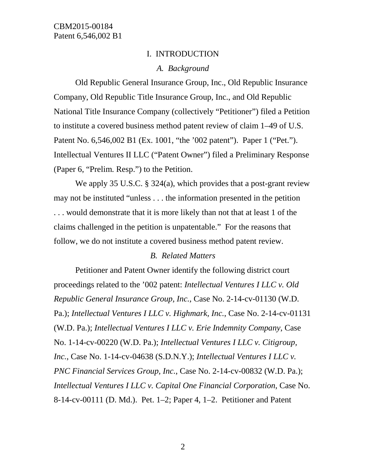#### I. INTRODUCTION

#### *A. Background*

Old Republic General Insurance Group, Inc., Old Republic Insurance Company, Old Republic Title Insurance Group, Inc., and Old Republic National Title Insurance Company (collectively "Petitioner") filed a Petition to institute a covered business method patent review of claim 1–49 of U.S. Patent No. 6,546,002 B1 (Ex. 1001, "the '002 patent"). Paper 1 ("Pet."). Intellectual Ventures II LLC ("Patent Owner") filed a Preliminary Response (Paper 6, "Prelim. Resp.") to the Petition.

We apply 35 U.S.C. § 324(a), which provides that a post-grant review may not be instituted "unless . . . the information presented in the petition . . . would demonstrate that it is more likely than not that at least 1 of the claims challenged in the petition is unpatentable." For the reasons that follow, we do not institute a covered business method patent review.

#### *B. Related Matters*

Petitioner and Patent Owner identify the following district court proceedings related to the '002 patent: *Intellectual Ventures I LLC v. Old Republic General Insurance Group, Inc.*, Case No. 2-14-cv-01130 (W.D. Pa.); *Intellectual Ventures I LLC v. Highmark, Inc.*, Case No. 2-14-cv-01131 (W.D. Pa.); *Intellectual Ventures I LLC v. Erie Indemnity Company*, Case No. 1-14-cv-00220 (W.D. Pa.); *Intellectual Ventures I LLC v. Citigroup, Inc.*, Case No. 1-14-cv-04638 (S.D.N.Y.); *Intellectual Ventures I LLC v. PNC Financial Services Group, Inc.*, Case No. 2-14-cv-00832 (W.D. Pa.); *Intellectual Ventures I LLC v. Capital One Financial Corporation*, Case No. 8-14-cv-00111 (D. Md.). Pet. 1–2; Paper 4, 1–2. Petitioner and Patent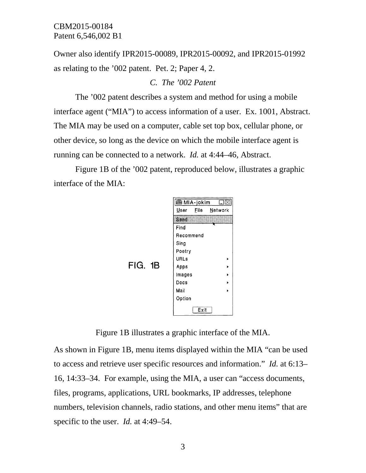Owner also identify IPR2015-00089, IPR2015-00092, and IPR2015-01992 as relating to the '002 patent. Pet. 2; Paper 4, 2.

*C. The '002 Patent*

The '002 patent describes a system and method for using a mobile interface agent ("MIA") to access information of a user. Ex. 1001, Abstract. The MIA may be used on a computer, cable set top box, cellular phone, or other device, so long as the device on which the mobile interface agent is running can be connected to a network. *Id.* at 4:44–46, Abstract.

Figure 1B of the '002 patent, reproduced below, illustrates a graphic interface of the MIA:



Figure 1B illustrates a graphic interface of the MIA.

As shown in Figure 1B, menu items displayed within the MIA "can be used to access and retrieve user specific resources and information." *Id.* at 6:13– 16, 14:33–34. For example, using the MIA, a user can "access documents, files, programs, applications, URL bookmarks, IP addresses, telephone numbers, television channels, radio stations, and other menu items" that are specific to the user. *Id.* at 4:49–54.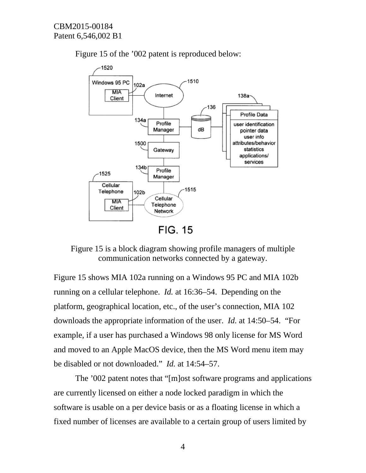



Figure 15 is a block diagram showing profile managers of multiple communication networks connected by a gateway.

Figure 15 shows MIA 102a running on a Windows 95 PC and MIA 102b running on a cellular telephone. *Id.* at 16:36–54. Depending on the platform, geographical location, etc., of the user's connection, MIA 102 downloads the appropriate information of the user. *Id.* at 14:50–54. "For example, if a user has purchased a Windows 98 only license for MS Word and moved to an Apple MacOS device, then the MS Word menu item may be disabled or not downloaded." *Id.* at 14:54–57.

The '002 patent notes that "[m]ost software programs and applications are currently licensed on either a node locked paradigm in which the software is usable on a per device basis or as a floating license in which a fixed number of licenses are available to a certain group of users limited by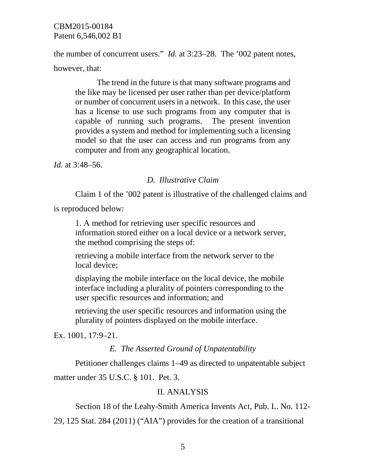the number of concurrent users." *Id.* at 3:23–28. The '002 patent notes, however, that:

The trend in the future is that many software programs and the like may be licensed per user rather than per device/platform or number of concurrent users in a network. In this case, the user has a license to use such programs from any computer that is capable of running such programs. The present invention provides a system and method for implementing such a licensing model so that the user can access and run programs from any computer and from any geographical location.

*Id.* at 3:48–56.

# *D. Illustrative Claim*

Claim 1 of the '002 patent is illustrative of the challenged claims and

is reproduced below:

1. A method for retrieving user specific resources and information stored either on a local device or a network server, the method comprising the steps of:

retrieving a mobile interface from the network server to the local device;

displaying the mobile interface on the local device, the mobile interface including a plurality of pointers corresponding to the user specific resources and information; and

retrieving the user specific resources and information using the plurality of pointers displayed on the mobile interface.

Ex. 1001, 17:9–21.

# *E. The Asserted Ground of Unpatentability*

Petitioner challenges claims 1–49 as directed to unpatentable subject matter under 35 U.S.C. § 101. Pet. 3.

# II. ANALYSIS

Section 18 of the Leahy-Smith America Invents Act, Pub. L. No. 112-

29, 125 Stat. 284 (2011) ("AIA") provides for the creation of a transitional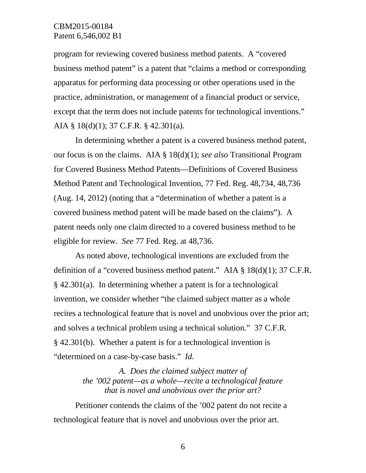program for reviewing covered business method patents. A "covered business method patent" is a patent that "claims a method or corresponding apparatus for performing data processing or other operations used in the practice, administration, or management of a financial product or service, except that the term does not include patents for technological inventions." AIA § 18(d)(1); 37 C.F.R. § 42.301(a).

In determining whether a patent is a covered business method patent, our focus is on the claims. AIA § 18(d)(1); *see also* Transitional Program for Covered Business Method Patents—Definitions of Covered Business Method Patent and Technological Invention, 77 Fed. Reg. 48,734, 48,736 (Aug. 14, 2012) (noting that a "determination of whether a patent is a covered business method patent will be made based on the claims"). A patent needs only one claim directed to a covered business method to be eligible for review. *See* 77 Fed. Reg. at 48,736.

As noted above, technological inventions are excluded from the definition of a "covered business method patent." AIA § 18(d)(1); 37 C.F.R. § 42.301(a). In determining whether a patent is for a technological invention, we consider whether "the claimed subject matter as a whole recites a technological feature that is novel and unobvious over the prior art; and solves a technical problem using a technical solution." 37 C.F.R. § 42.301(b). Whether a patent is for a technological invention is "determined on a case-by-case basis." *Id.*

> *A. Does the claimed subject matter of the '002 patent—as a whole—recite a technological feature that is novel and unobvious over the prior art?*

Petitioner contends the claims of the '002 patent do not recite a technological feature that is novel and unobvious over the prior art.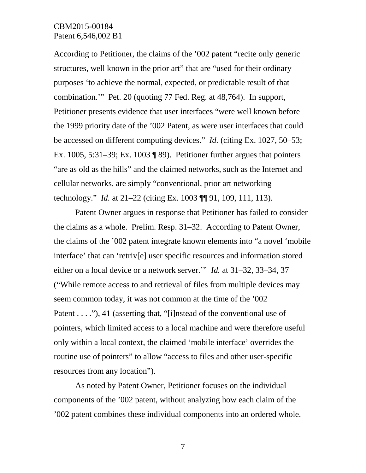According to Petitioner, the claims of the '002 patent "recite only generic structures, well known in the prior art" that are "used for their ordinary purposes 'to achieve the normal, expected, or predictable result of that combination.'" Pet. 20 (quoting 77 Fed. Reg. at 48,764). In support, Petitioner presents evidence that user interfaces "were well known before the 1999 priority date of the '002 Patent, as were user interfaces that could be accessed on different computing devices." *Id.* (citing Ex. 1027, 50–53; Ex. 1005, 5:31–39; Ex. 1003  $\sqrt{ }$  89). Petitioner further argues that pointers "are as old as the hills" and the claimed networks, such as the Internet and cellular networks, are simply "conventional, prior art networking technology." *Id.* at 21–22 (citing Ex. 1003 ¶¶ 91, 109, 111, 113).

Patent Owner argues in response that Petitioner has failed to consider the claims as a whole. Prelim. Resp. 31–32. According to Patent Owner, the claims of the '002 patent integrate known elements into "a novel 'mobile interface' that can 'retriv[e] user specific resources and information stored either on a local device or a network server.'" *Id.* at 31–32, 33–34, 37 ("While remote access to and retrieval of files from multiple devices may seem common today, it was not common at the time of the '002 Patent . . . ."), 41 (asserting that, "[i]nstead of the conventional use of pointers, which limited access to a local machine and were therefore useful only within a local context, the claimed 'mobile interface' overrides the routine use of pointers" to allow "access to files and other user-specific resources from any location").

As noted by Patent Owner, Petitioner focuses on the individual components of the '002 patent, without analyzing how each claim of the '002 patent combines these individual components into an ordered whole.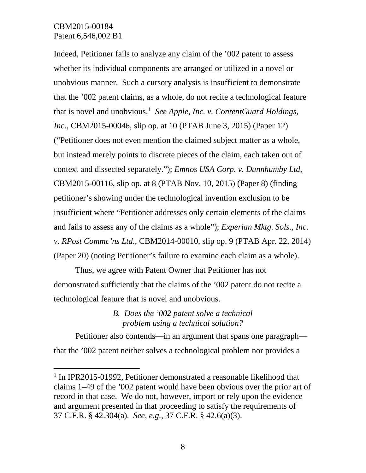Indeed, Petitioner fails to analyze any claim of the '002 patent to assess whether its individual components are arranged or utilized in a novel or unobvious manner. Such a cursory analysis is insufficient to demonstrate that the '002 patent claims, as a whole, do not recite a technological feature that is novel and unobvious. [1](#page-7-0) *See Apple, Inc. v. ContentGuard Holdings, Inc.*, CBM2015-00046, slip op. at 10 (PTAB June 3, 2015) (Paper 12) ("Petitioner does not even mention the claimed subject matter as a whole, but instead merely points to discrete pieces of the claim, each taken out of context and dissected separately."); *Emnos USA Corp. v. Dunnhumby Ltd*, CBM2015-00116, slip op. at 8 (PTAB Nov. 10, 2015) (Paper 8) (finding petitioner's showing under the technological invention exclusion to be insufficient where "Petitioner addresses only certain elements of the claims and fails to assess any of the claims as a whole"); *Experian Mktg. Sols., Inc. v. RPost Commc'ns Ltd.*, CBM2014-00010, slip op. 9 (PTAB Apr. 22, 2014) (Paper 20) (noting Petitioner's failure to examine each claim as a whole).

Thus, we agree with Patent Owner that Petitioner has not demonstrated sufficiently that the claims of the '002 patent do not recite a technological feature that is novel and unobvious.

> *B. Does the '002 patent solve a technical problem using a technical solution?*

Petitioner also contends—in an argument that spans one paragraph that the '002 patent neither solves a technological problem nor provides a

<span id="page-7-0"></span><sup>&</sup>lt;sup>1</sup> In IPR2015-01992, Petitioner demonstrated a reasonable likelihood that claims 1–49 of the '002 patent would have been obvious over the prior art of record in that case. We do not, however, import or rely upon the evidence and argument presented in that proceeding to satisfy the requirements of 37 C.F.R. § 42.304(a). *See, e.g.*, 37 C.F.R. § 42.6(a)(3).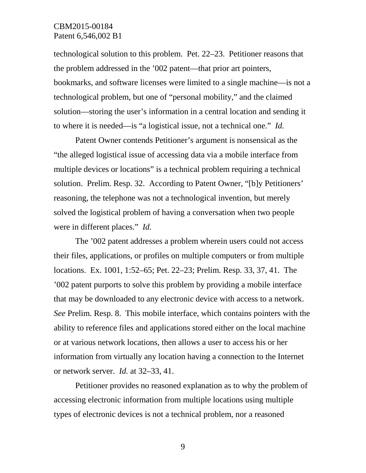technological solution to this problem. Pet. 22–23. Petitioner reasons that the problem addressed in the '002 patent—that prior art pointers, bookmarks, and software licenses were limited to a single machine—is not a technological problem, but one of "personal mobility," and the claimed solution—storing the user's information in a central location and sending it to where it is needed—is "a logistical issue, not a technical one." *Id.*

Patent Owner contends Petitioner's argument is nonsensical as the "the alleged logistical issue of accessing data via a mobile interface from multiple devices or locations" is a technical problem requiring a technical solution. Prelim. Resp. 32. According to Patent Owner, "[b]y Petitioners' reasoning, the telephone was not a technological invention, but merely solved the logistical problem of having a conversation when two people were in different places." *Id.* 

The '002 patent addresses a problem wherein users could not access their files, applications, or profiles on multiple computers or from multiple locations. Ex. 1001, 1:52–65; Pet. 22–23; Prelim. Resp. 33, 37, 41. The '002 patent purports to solve this problem by providing a mobile interface that may be downloaded to any electronic device with access to a network. *See* Prelim. Resp. 8. This mobile interface, which contains pointers with the ability to reference files and applications stored either on the local machine or at various network locations, then allows a user to access his or her information from virtually any location having a connection to the Internet or network server. *Id.* at 32–33, 41.

Petitioner provides no reasoned explanation as to why the problem of accessing electronic information from multiple locations using multiple types of electronic devices is not a technical problem, nor a reasoned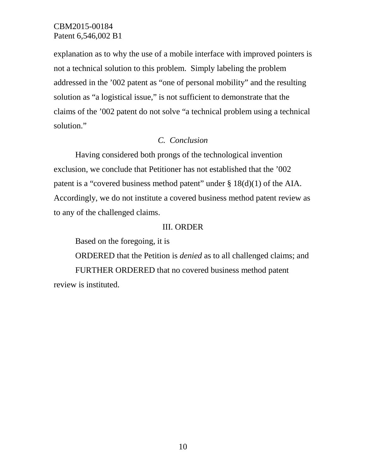explanation as to why the use of a mobile interface with improved pointers is not a technical solution to this problem. Simply labeling the problem addressed in the '002 patent as "one of personal mobility" and the resulting solution as "a logistical issue," is not sufficient to demonstrate that the claims of the '002 patent do not solve "a technical problem using a technical solution."

# *C. Conclusion*

Having considered both prongs of the technological invention exclusion, we conclude that Petitioner has not established that the '002 patent is a "covered business method patent" under § 18(d)(1) of the AIA. Accordingly, we do not institute a covered business method patent review as to any of the challenged claims.

#### III. ORDER

Based on the foregoing, it is

ORDERED that the Petition is *denied* as to all challenged claims; and FURTHER ORDERED that no covered business method patent review is instituted.